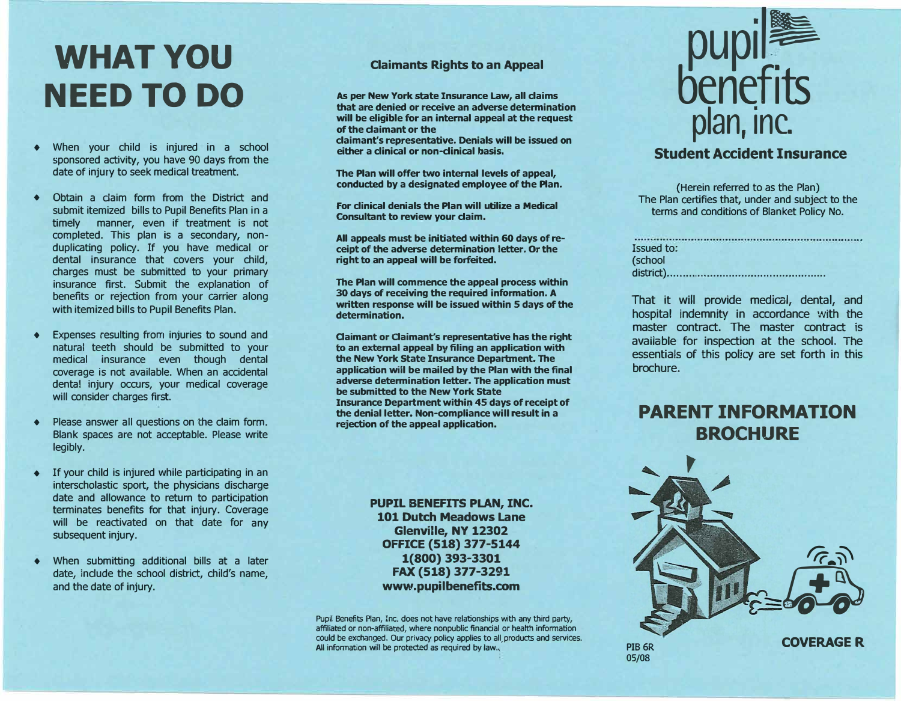# **WHAT YOU NEED TO DO**

- When your child is injured in a school sponsored activity, you have 90 days from the date of injury to seek medical treatment.
- ♦ Obtain a daim form from the District and submit itemized bills to Pupil Benefits Plan in a timely manner, even if treatment is not completed. This plan is a secondary, nonduplicating policy. If you have medical or dental insurance that covers your child, charges must be submitted to your primary insurance first. Submit the explanation of benefits or rejection from your carrier along with itemized bills to Pupil Benefits Plan.
- ♦ Expenses resulting from injuries to sound and natural teeth should be submitted to your medical insurance even though dental coverage is not available. When an accidental dental injury occurs, your medical coverage will consider charges first.
- ♦ Please answer all questions on the claim form. Blank spaces are not acceptable. Please write legibly.
- $\bullet$  If your child is injured while participating in an interscholastic sport, the physicians discharge date and allowance to return to participation terminates benefits for that injury. Coverage will be reactivated on that date for any subsequent injury.
- ♦ When submitting additional bills at a later date, include the school district, child's name, and the date of injury.

#### **Claimants Rights to an Appeal**

**As per New York state Insurance Law, all claims that are denied or receive an adverse determination will be eligible for an internal appeal at the request of the claimant or the claimant's representative. Denials will be issued on** 

**either a clinical or non-clinical basis.** 

**The Plan will offer two internal levels of appeal, conducted by a designated employee of the Plan.** 

**For clinical denials the Plan will utilize a Medical Consultant to review your claim.** 

**All appeals must be initiated within 60 days of receipt of the adverse determination letter. Or the right to an appeal will be forfeited.** 

**The Plan will commence the appeal process within 30 days of receiving the required information. A written response will be issued within 5 days of the determination.** 

**Claimant or Claimant's representative has the right to an external appeal by filing an application with the New York State Insurance Department. The application will be mailed by the Plan with the final adverse determination letter. The application must be submitted to the New York State Insurance Department within 45 days of receipt of the denial letter. Non-compliance will result in a rejection of the appeal application.** 

> **PUPIL BENEFITS PLAN, INC. 101 Dutch Meadows Lane Glenville, NY 12302 OFFICE (518) 377-5144 1(800) 393-3301 FAX (518) 377-3291 www.pupilbenefits.com**

Pupil Benefits Plan, Inc. does not have relationships with any third party, affiliated or non-affiliated, where nonpublic financial or health information could be exchanged. Our privacy policy applies to all,products and services. All information will be protected as required by law.,



### **Student Accident Insurance**

(Herein referred to as the Plan) The Plan certifies that, under and subject to the terms and conditions of Blanket Policy No.

|                   | an and the second contract of the contract of the second contract of the contract of the contract of the contra |  |
|-------------------|-----------------------------------------------------------------------------------------------------------------|--|
| <b>Issued to:</b> |                                                                                                                 |  |
| (school           |                                                                                                                 |  |
|                   |                                                                                                                 |  |

That it will provide medical, dental, and hospital indemnity in accordance with the master contract. The master contract is available for inspection at the school. The essentials of this policy are set forth in this brochure.

## **PARENT INFORMATION BROCHURE**



05/08